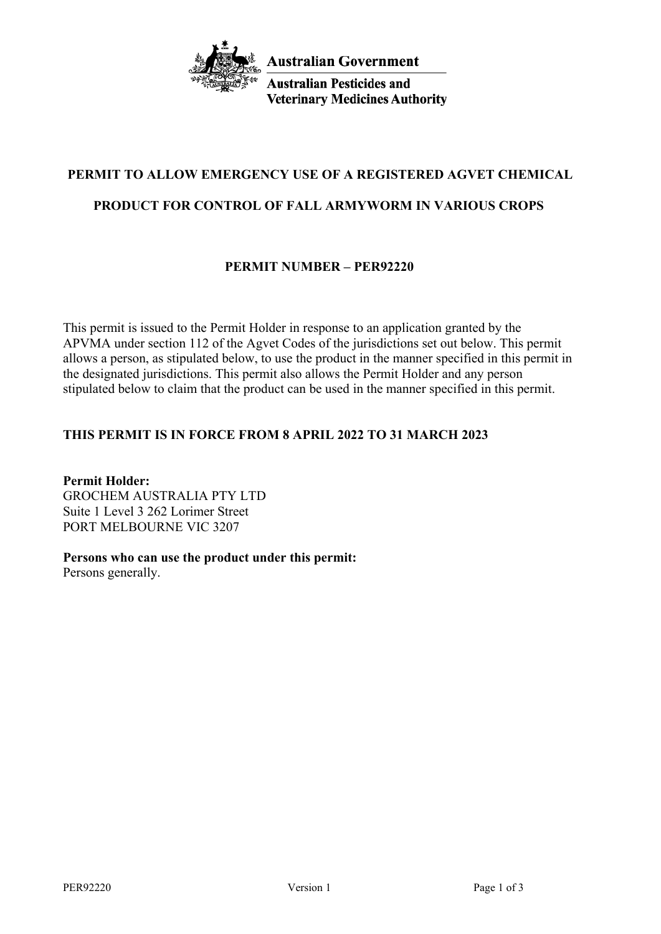

**Australian Pesticides and Veterinary Medicines Authority** 

# **PERMIT TO ALLOW EMERGENCY USE OF A REGISTERED AGVET CHEMICAL**

# **PRODUCT FOR CONTROL OF FALL ARMYWORM IN VARIOUS CROPS**

# **PERMIT NUMBER – PER92220**

This permit is issued to the Permit Holder in response to an application granted by the APVMA under section 112 of the Agvet Codes of the jurisdictions set out below. This permit allows a person, as stipulated below, to use the product in the manner specified in this permit in the designated jurisdictions. This permit also allows the Permit Holder and any person stipulated below to claim that the product can be used in the manner specified in this permit.

## **THIS PERMIT IS IN FORCE FROM 8 APRIL 2022 TO 31 MARCH 2023**

**Permit Holder:** GROCHEM AUSTRALIA PTY LTD Suite 1 Level 3 262 Lorimer Street PORT MELBOURNE VIC 3207

## **Persons who can use the product under this permit:**

Persons generally.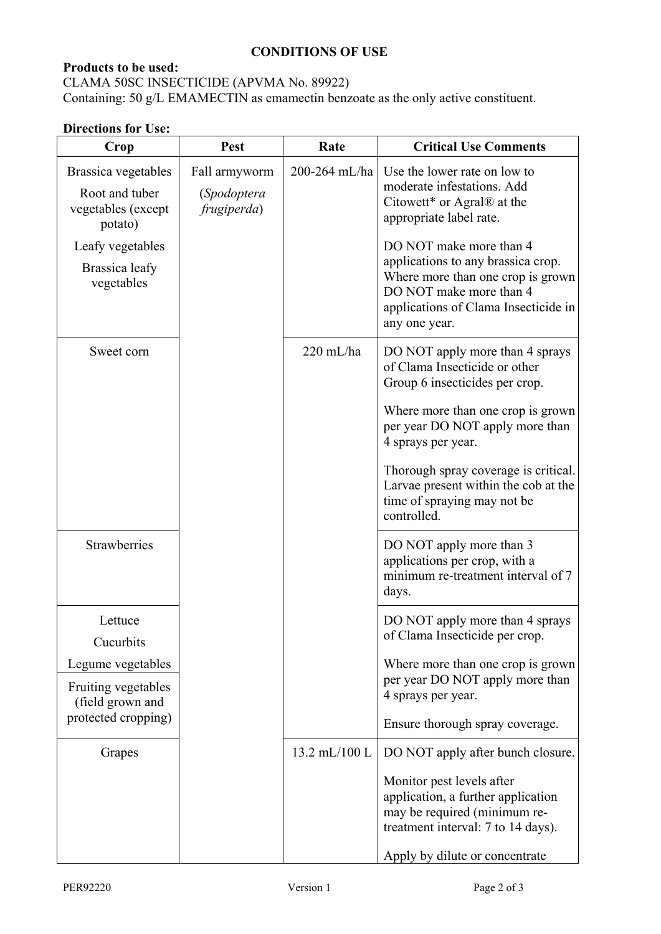#### **CONDITIONS OF USE**

# **Products to be used:**

CLAMA 50SC INSECTICIDE (APVMA No. 89922) Containing: 50 g/L EMAMECTIN as emamectin benzoate as the only active constituent.

## **Directions for Use:**

| Crop                                                                   | Pest                                        | Rate          | <b>Critical Use Comments</b>                                                                                                                                                           |
|------------------------------------------------------------------------|---------------------------------------------|---------------|----------------------------------------------------------------------------------------------------------------------------------------------------------------------------------------|
| Brassica vegetables<br>Root and tuber<br>vegetables (except<br>potato) | Fall armyworm<br>(Spodoptera<br>frugiperda) | 200-264 mL/ha | Use the lower rate on low to<br>moderate infestations. Add<br>Citowett* or Agral® at the<br>appropriate label rate.                                                                    |
| Leafy vegetables<br>Brassica leafy<br>vegetables                       |                                             |               | DO NOT make more than 4<br>applications to any brassica crop.<br>Where more than one crop is grown<br>DO NOT make more than 4<br>applications of Clama Insecticide in<br>any one year. |
| Sweet corn                                                             |                                             | $220$ mL/ha   | DO NOT apply more than 4 sprays<br>of Clama Insecticide or other<br>Group 6 insecticides per crop.                                                                                     |
|                                                                        |                                             |               | Where more than one crop is grown<br>per year DO NOT apply more than<br>4 sprays per year.                                                                                             |
|                                                                        |                                             |               | Thorough spray coverage is critical.<br>Larvae present within the cob at the<br>time of spraying may not be<br>controlled.                                                             |
| Strawberries                                                           |                                             |               | DO NOT apply more than 3<br>applications per crop, with a<br>minimum re-treatment interval of 7<br>days.                                                                               |
| Lettuce<br>Cucurbits                                                   |                                             |               | DO NOT apply more than 4 sprays<br>of Clama Insecticide per crop.                                                                                                                      |
| Legume vegetables<br>Fruiting vegetables<br>(field grown and           |                                             |               | Where more than one crop is grown<br>per year DO NOT apply more than<br>4 sprays per year.                                                                                             |
| protected cropping)                                                    |                                             |               | Ensure thorough spray coverage.                                                                                                                                                        |
| Grapes                                                                 |                                             | 13.2 mL/100 L | DO NOT apply after bunch closure.                                                                                                                                                      |
|                                                                        |                                             |               | Monitor pest levels after<br>application, a further application<br>may be required (minimum re-<br>treatment interval: 7 to 14 days).                                                  |
|                                                                        |                                             |               | Apply by dilute or concentrate                                                                                                                                                         |